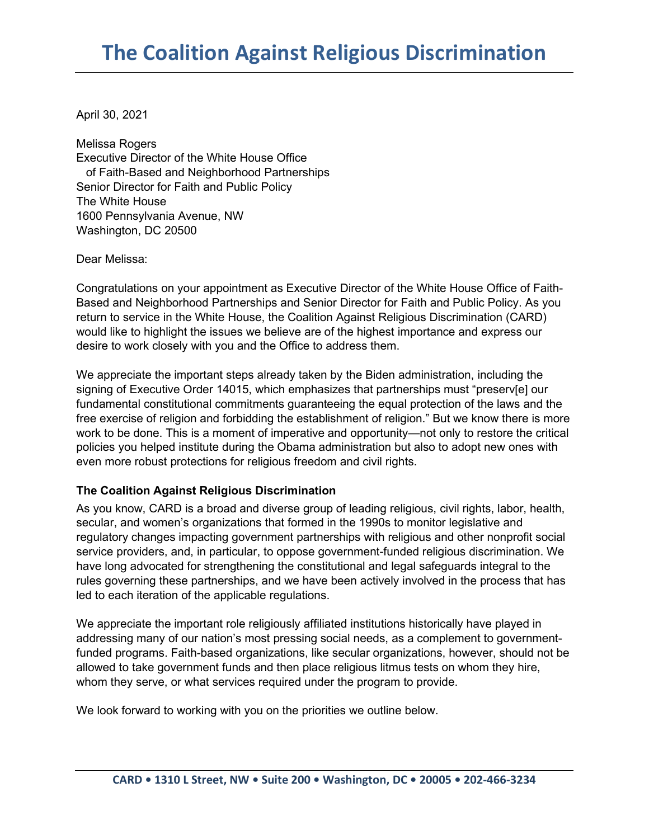April 30, 2021

Melissa Rogers Executive Director of the White House Office of Faith-Based and Neighborhood Partnerships Senior Director for Faith and Public Policy The White House 1600 Pennsylvania Avenue, NW Washington, DC 20500

Dear Melissa:

Congratulations on your appointment as Executive Director of the White House Office of Faith-Based and Neighborhood Partnerships and Senior Director for Faith and Public Policy. As you return to service in the White House, the Coalition Against Religious Discrimination (CARD) would like to highlight the issues we believe are of the highest importance and express our desire to work closely with you and the Office to address them.

We appreciate the important steps already taken by the Biden administration, including the signing of Executive Order 14015, which emphasizes that partnerships must "preserv[e] our fundamental constitutional commitments guaranteeing the equal protection of the laws and the free exercise of religion and forbidding the establishment of religion." But we know there is more work to be done. This is a moment of imperative and opportunity—not only to restore the critical policies you helped institute during the Obama administration but also to adopt new ones with even more robust protections for religious freedom and civil rights.

## **The Coalition Against Religious Discrimination**

As you know, CARD is a broad and diverse group of leading religious, civil rights, labor, health, secular, and women's organizations that formed in the 1990s to monitor legislative and regulatory changes impacting government partnerships with religious and other nonprofit social service providers, and, in particular, to oppose government-funded religious discrimination. We have long advocated for strengthening the constitutional and legal safeguards integral to the rules governing these partnerships, and we have been actively involved in the process that has led to each iteration of the applicable regulations.

We appreciate the important role religiously affiliated institutions historically have played in addressing many of our nation's most pressing social needs, as a complement to governmentfunded programs. Faith-based organizations, like secular organizations, however, should not be allowed to take government funds and then place religious litmus tests on whom they hire, whom they serve, or what services required under the program to provide.

We look forward to working with you on the priorities we outline below.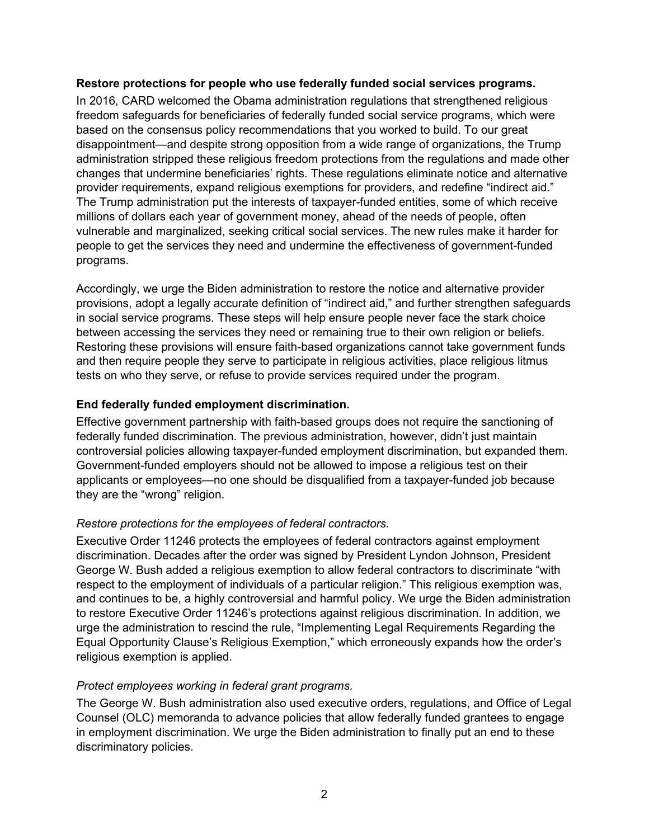## **Restore protections for people who use federally funded social services programs.**

In 2016, CARD welcomed the Obama administration regulations that strengthened religious freedom safeguards for beneficiaries of federally funded social service programs, which were based on the consensus policy recommendations that you worked to build. To our great disappointment—and despite strong opposition from a wide range of organizations, the Trump administration stripped these religious freedom protections from the regulations and made other changes that undermine beneficiaries' rights. These regulations eliminate notice and alternative provider requirements, expand religious exemptions for providers, and redefine "indirect aid." The Trump administration put the interests of taxpayer-funded entities, some of which receive millions of dollars each year of government money, ahead of the needs of people, often vulnerable and marginalized, seeking critical social services. The new rules make it harder for people to get the services they need and undermine the effectiveness of government-funded programs.

Accordingly, we urge the Biden administration to restore the notice and alternative provider provisions, adopt a legally accurate definition of "indirect aid," and further strengthen safeguards in social service programs. These steps will help ensure people never face the stark choice between accessing the services they need or remaining true to their own religion or beliefs. Restoring these provisions will ensure faith-based organizations cannot take government funds and then require people they serve to participate in religious activities, place religious litmus tests on who they serve, or refuse to provide services required under the program.

# **End federally funded employment discrimination.**

Effective government partnership with faith-based groups does not require the sanctioning of federally funded discrimination. The previous administration, however, didn't just maintain controversial policies allowing taxpayer-funded employment discrimination, but expanded them. Government-funded employers should not be allowed to impose a religious test on their applicants or employees—no one should be disqualified from a taxpayer-funded job because they are the "wrong" religion.

## *Restore protections for the employees of federal contractors.*

Executive Order 11246 protects the employees of federal contractors against employment discrimination. Decades after the order was signed by President Lyndon Johnson, President George W. Bush added a religious exemption to allow federal contractors to discriminate "with respect to the employment of individuals of a particular religion." This religious exemption was, and continues to be, a highly controversial and harmful policy. We urge the Biden administration to restore Executive Order 11246's protections against religious discrimination. In addition, we urge the administration to rescind the rule, "Implementing Legal Requirements Regarding the Equal Opportunity Clause's Religious Exemption," which erroneously expands how the order's religious exemption is applied.

## *Protect employees working in federal grant programs.*

The George W. Bush administration also used executive orders, regulations, and Office of Legal Counsel (OLC) memoranda to advance policies that allow federally funded grantees to engage in employment discrimination. We urge the Biden administration to finally put an end to these discriminatory policies.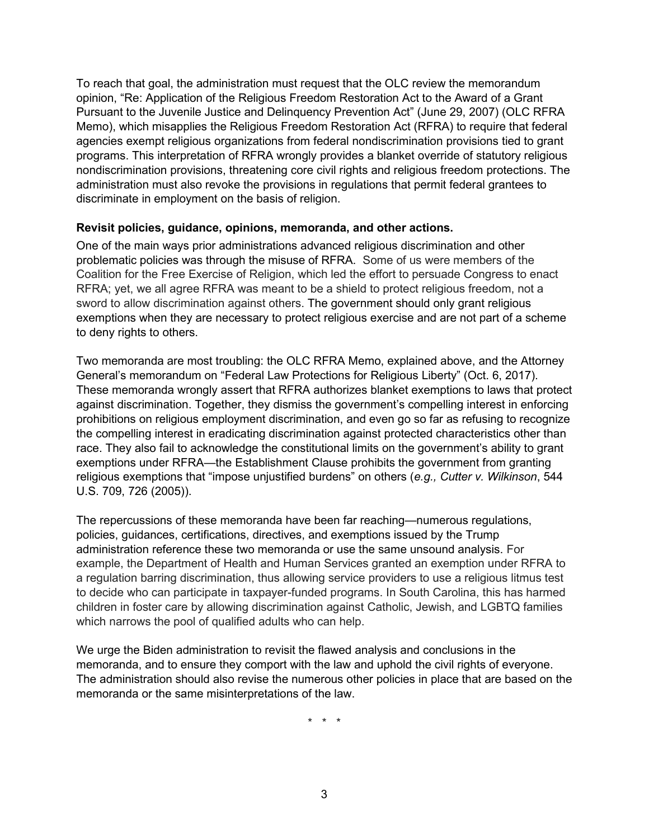To reach that goal, the administration must request that the OLC review the memorandum opinion, "Re: Application of the Religious Freedom Restoration Act to the Award of a Grant Pursuant to the Juvenile Justice and Delinquency Prevention Act" (June 29, 2007) (OLC RFRA Memo), which misapplies the Religious Freedom Restoration Act (RFRA) to require that federal agencies exempt religious organizations from federal nondiscrimination provisions tied to grant programs. This interpretation of RFRA wrongly provides a blanket override of statutory religious nondiscrimination provisions, threatening core civil rights and religious freedom protections. The administration must also revoke the provisions in regulations that permit federal grantees to discriminate in employment on the basis of religion.

#### **Revisit policies, guidance, opinions, memoranda, and other actions.**

One of the main ways prior administrations advanced religious discrimination and other problematic policies was through the misuse of RFRA. Some of us were members of the Coalition for the Free Exercise of Religion, which led the effort to persuade Congress to enact RFRA; yet, we all agree RFRA was meant to be a shield to protect religious freedom, not a sword to allow discrimination against others. The government should only grant religious exemptions when they are necessary to protect religious exercise and are not part of a scheme to deny rights to others.

Two memoranda are most troubling: the OLC RFRA Memo, explained above, and the Attorney General's memorandum on "Federal Law Protections for Religious Liberty" (Oct. 6, 2017). These memoranda wrongly assert that RFRA authorizes blanket exemptions to laws that protect against discrimination. Together, they dismiss the government's compelling interest in enforcing prohibitions on religious employment discrimination, and even go so far as refusing to recognize the compelling interest in eradicating discrimination against protected characteristics other than race. They also fail to acknowledge the constitutional limits on the government's ability to grant exemptions under RFRA—the Establishment Clause prohibits the government from granting religious exemptions that "impose unjustified burdens" on others (*e.g., Cutter v. Wilkinson*, 544 U.S. 709, 726 (2005)).

The repercussions of these memoranda have been far reaching—numerous regulations, policies, guidances, certifications, directives, and exemptions issued by the Trump administration reference these two memoranda or use the same unsound analysis. For example, the Department of Health and Human Services granted an exemption under RFRA to a regulation barring discrimination, thus allowing service providers to use a religious litmus test to decide who can participate in taxpayer-funded programs. In South Carolina, this has harmed children in foster care by allowing discrimination against Catholic, Jewish, and LGBTQ families which narrows the pool of qualified adults who can help.

We urge the Biden administration to revisit the flawed analysis and conclusions in the memoranda, and to ensure they comport with the law and uphold the civil rights of everyone. The administration should also revise the numerous other policies in place that are based on the memoranda or the same misinterpretations of the law.

\* \* \*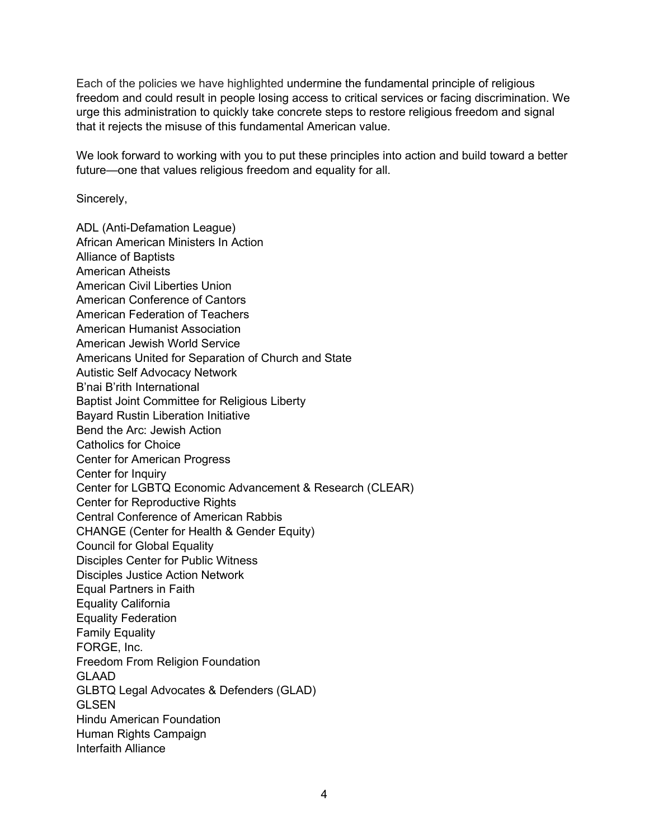Each of the policies we have highlighted undermine the fundamental principle of religious freedom and could result in people losing access to critical services or facing discrimination. We urge this administration to quickly take concrete steps to restore religious freedom and signal that it rejects the misuse of this fundamental American value.

We look forward to working with you to put these principles into action and build toward a better future—one that values religious freedom and equality for all.

Sincerely,

ADL (Anti-Defamation League) African American Ministers In Action Alliance of Baptists American Atheists American Civil Liberties Union American Conference of Cantors American Federation of Teachers American Humanist Association American Jewish World Service Americans United for Separation of Church and State Autistic Self Advocacy Network B'nai B'rith International Baptist Joint Committee for Religious Liberty Bayard Rustin Liberation Initiative Bend the Arc: Jewish Action Catholics for Choice Center for American Progress Center for Inquiry Center for LGBTQ Economic Advancement & Research (CLEAR) Center for Reproductive Rights Central Conference of American Rabbis CHANGE (Center for Health & Gender Equity) Council for Global Equality Disciples Center for Public Witness Disciples Justice Action Network Equal Partners in Faith Equality California Equality Federation Family Equality FORGE, Inc. Freedom From Religion Foundation GLAAD GLBTQ Legal Advocates & Defenders (GLAD) **GLSEN** Hindu American Foundation Human Rights Campaign Interfaith Alliance